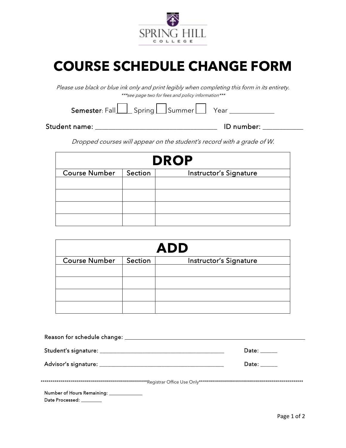

## **COURSE SCHEDULE CHANGE FORM**

Please use black or blue ink only and print legibly when completing this form in its entirety. \*\*\*see page two for fees and policy information\*\*\*

 $Semester: Fall$   $\Box$  Spring  $\Box$  Summer  $\Box$  Year  $\Box$  Year

Student name: \_\_\_\_\_\_\_\_\_\_\_\_\_\_\_\_\_\_\_\_\_\_\_\_\_\_\_\_\_\_\_\_\_\_\_\_ ID number: \_\_\_\_\_\_\_\_\_\_\_\_

Dropped courses will appear on the student's record with a grade of W.

| <b>DROP</b>          |         |                        |  |  |
|----------------------|---------|------------------------|--|--|
| <b>Course Number</b> | Section | Instructor's Signature |  |  |
|                      |         |                        |  |  |
|                      |         |                        |  |  |
|                      |         |                        |  |  |
|                      |         |                        |  |  |

| <b>ADD</b>           |         |                        |  |  |
|----------------------|---------|------------------------|--|--|
| <b>Course Number</b> | Section | Instructor's Signature |  |  |
|                      |         |                        |  |  |
|                      |         |                        |  |  |
|                      |         |                        |  |  |
|                      |         |                        |  |  |

|                                          | Date: $\_\_$                                           |
|------------------------------------------|--------------------------------------------------------|
|                                          | Date: $\frac{1}{\sqrt{1-\frac{1}{2}}\cdot\frac{1}{2}}$ |
|                                          |                                                        |
| Number of Hours Remaining: _____________ |                                                        |
| Date Processed: ________                 |                                                        |